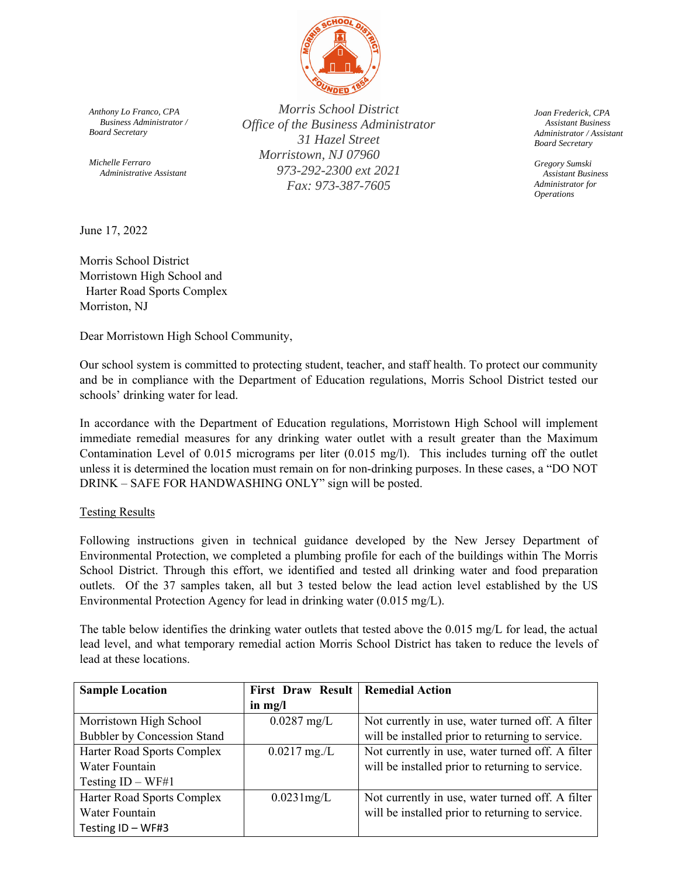

*Anthony Lo Franco, CPA Business Administrator / Board Secretary* 

*Michelle Ferraro Administrative Assistant* 

*Morris School District Office of the Business Administrator 31 Hazel Street Morristown, NJ 07960 973-292-2300 ext 2021 Fax: 973-387-7605* 

*Joan Frederick, CPA Assistant Business Administrator / Assistant Board Secretary* 

*Gregory Sumski Assistant Business Administrator for Operations* 

June 17, 2022

Morris School District Morristown High School and Harter Road Sports Complex Morriston, NJ

Dear Morristown High School Community,

Our school system is committed to protecting student, teacher, and staff health. To protect our community and be in compliance with the Department of Education regulations, Morris School District tested our schools' drinking water for lead.

In accordance with the Department of Education regulations, Morristown High School will implement immediate remedial measures for any drinking water outlet with a result greater than the Maximum Contamination Level of 0.015 micrograms per liter (0.015 mg/l). This includes turning off the outlet unless it is determined the location must remain on for non-drinking purposes. In these cases, a "DO NOT DRINK – SAFE FOR HANDWASHING ONLY" sign will be posted.

#### Testing Results

Following instructions given in technical guidance developed by the New Jersey Department of Environmental Protection, we completed a plumbing profile for each of the buildings within The Morris School District. Through this effort, we identified and tested all drinking water and food preparation outlets. Of the 37 samples taken, all but 3 tested below the lead action level established by the US Environmental Protection Agency for lead in drinking water (0.015 mg/L).

The table below identifies the drinking water outlets that tested above the 0.015 mg/L for lead, the actual lead level, and what temporary remedial action Morris School District has taken to reduce the levels of lead at these locations.

| <b>Sample Location</b>             | First Draw Result   Remedial Action |                                                  |
|------------------------------------|-------------------------------------|--------------------------------------------------|
|                                    | in $mg/l$                           |                                                  |
| Morristown High School             | $0.0287$ mg/L                       | Not currently in use, water turned off. A filter |
| <b>Bubbler by Concession Stand</b> |                                     | will be installed prior to returning to service. |
| Harter Road Sports Complex         | $0.0217$ mg./L                      | Not currently in use, water turned off. A filter |
| Water Fountain                     |                                     | will be installed prior to returning to service. |
| Testing $ID - WF#1$                |                                     |                                                  |
| Harter Road Sports Complex         | $0.0231$ mg/L                       | Not currently in use, water turned off. A filter |
| Water Fountain                     |                                     | will be installed prior to returning to service. |
| Testing ID - WF#3                  |                                     |                                                  |